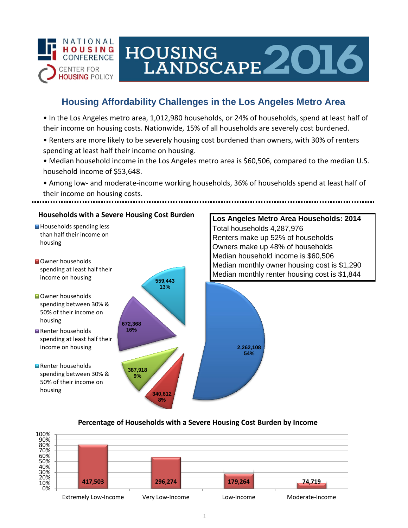

# HOUSING LANDSCAPE 2016

## **Housing Affordability Challenges in the Los Angeles Metro Area**

• In the Los Angeles metro area, 1,012,980 households, or 24% of households, spend at least half of their income on housing costs. Nationwide, 15% of all households are severely cost burdened.

- Renters are more likely to be severely housing cost burdened than owners, with 30% of renters spending at least half their income on housing.
- Median household income in the Los Angeles metro area is \$60,506, compared to the median U.S. household income of \$53,648.
- Among low- and moderate-income working households, 36% of households spend at least half of their income on housing costs.



### **Percentage of Households with a Severe Housing Cost Burden by Income**